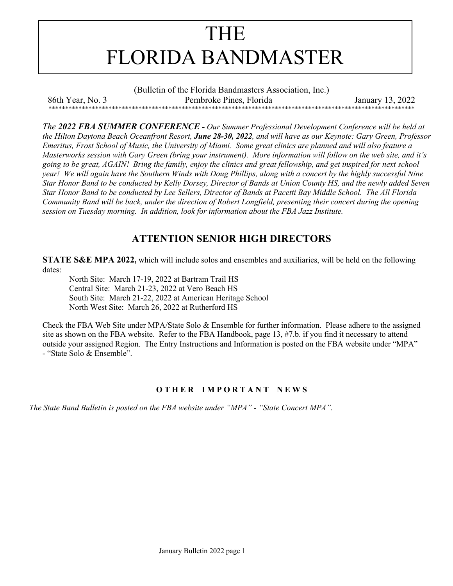

(Bulletin of the Florida Bandmasters Association, Inc.) 86th Year, No. 3 Pembroke Pines, Florida January 13, 2022 \*\*\*\*\*\*\*\*\*\*\*\*\*\*\*\*\*\*\*\*\*\*\*\*\*\*\*\*\*\*\*\*\*\*\*\*\*\*\*\*\*\*\*\*\*\*\*\*\*\*\*\*\*\*\*\*\*\*\*\*\*\*\*\*\*\*\*\*\*\*\*\*\*\*\*\*\*\*\*\*\*\*\*\*\*\*\*\*\*\*\*\*\*\*\*\*\*\*\*\*\*\*\*\*\*\*\*\*\*\*

*The 2022 FBA SUMMER CONFERENCE - Our Summer Professional Development Conference will be held at the Hilton Daytona Beach Oceanfront Resort, June 28-30, 2022, and will have as our Keynote: Gary Green, Professor Emeritus, Frost School of Music, the University of Miami. Some great clinics are planned and will also feature a Masterworks session with Gary Green (bring your instrument). More information will follow on the web site, and it's going to be great, AGAIN! Bring the family, enjoy the clinics and great fellowship, and get inspired for next school year! We will again have the Southern Winds with Doug Phillips, along with a concert by the highly successful Nine Star Honor Band to be conducted by Kelly Dorsey, Director of Bands at Union County HS, and the newly added Seven Star Honor Band to be conducted by Lee Sellers, Director of Bands at Pacetti Bay Middle School. The All Florida Community Band will be back, under the direction of Robert Longfield, presenting their concert during the opening session on Tuesday morning. In addition, look for information about the FBA Jazz Institute.*

# **ATTENTION SENIOR HIGH DIRECTORS**

**STATE S&E MPA 2022,** which will include solos and ensembles and auxiliaries, will be held on the following dates:

North Site: March 17-19, 2022 at Bartram Trail HS Central Site: March 21-23, 2022 at Vero Beach HS South Site: March 21-22, 2022 at American Heritage School North West Site: March 26, 2022 at Rutherford HS

Check the FBA Web Site under MPA/State Solo & Ensemble for further information. Please adhere to the assigned site as shown on the FBA website. Refer to the FBA Handbook, page 13, #7.b. if you find it necessary to attend outside your assigned Region. The Entry Instructions and Information is posted on the FBA website under "MPA" - "State Solo & Ensemble".

## **O T H E R I M P O R T A N T N E W S**

*The State Band Bulletin is posted on the FBA website under "MPA" - "State Concert MPA".*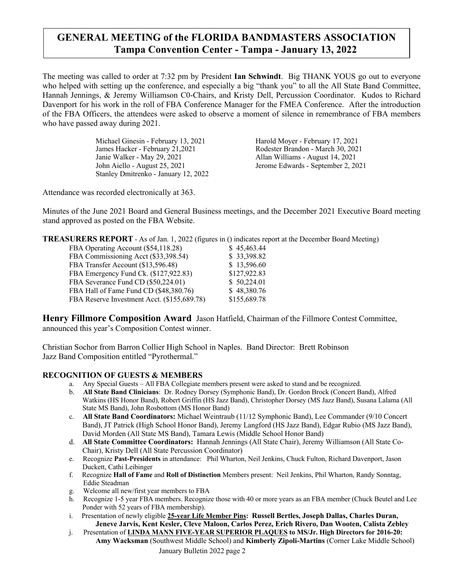# **GENERAL MEETING of the FLORIDA BANDMASTERS ASSOCIATION Tampa Convention Center - Tampa - January 13, 2022**

The meeting was called to order at 7:32 pm by President **Ian Schwindt**. Big THANK YOUS go out to everyone who helped with setting up the conference, and especially a big "thank you" to all the All State Band Committee, Hannah Jennings, & Jeremy Williamson C0-Chairs, and Kristy Dell, Percussion Coordinator.Kudos to Richard Davenport for his work in the roll of FBA Conference Manager for the FMEA Conference. After the introduction of the FBA Officers, the attendees were asked to observe a moment of silence in remembrance of FBA members who have passed away during 2021.

> Michael Ginesin - February 13, 2021 Harold Moyer - February 17, 2021 James Hacker - February 21,2021 Rodester Brandon - March 30, 2021 Janie Walker - May 29, 2021 Allan Williams - August 14, 2021 John Aiello - August 25, 2021 Jerome Edwards - September 2, 2021 Stanley Dmitrenko - January 12, 2022

Attendance was recorded electronically at 363.

Minutes of the June 2021 Board and General Business meetings, and the December 2021 Executive Board meeting stand approved as posted on the FBA Website.

**TREASURERS REPORT** - As of Jan. 1, 2022 (figures in () indicates report at the December Board Meeting)

| FBA Operating Account (\$54,118.28)         | \$45,463.44  |
|---------------------------------------------|--------------|
| FBA Commissioning Acct (\$33,398.54)        | \$33,398.82  |
| FBA Transfer Account (\$13,596.48)          | \$13,596.60  |
| FBA Emergency Fund Ck. (\$127,922.83)       | \$127,922.83 |
| FBA Severance Fund CD (\$50,224.01)         | \$50,224.01  |
| FBA Hall of Fame Fund CD (\$48,380.76)      | \$48,380.76  |
| FBA Reserve Investment Acct. (\$155,689.78) | \$155,689.78 |
|                                             |              |

**Henry Fillmore Composition Award** Jason Hatfield, Chairman of the Fillmore Contest Committee, announced this year's Composition Contest winner.

Christian Sochor from Barron Collier High School in Naples. Band Director: Brett Robinson Jazz Band Composition entitled "Pyrothermal."

## **RECOGNITION OF GUESTS & MEMBERS**

- a. Any Special Guests All FBA Collegiate members present were asked to stand and be recognized.
- b. **All State Band Clinicians**: Dr. Rodney Dorsey (Symphonic Band), Dr. Gordon Brock (Concert Band), Alfred Watkins (HS Honor Band), Robert Griffin (HS Jazz Band), Christopher Dorsey (MS Jazz Band), Susana Lalama (All State MS Band), John Rosbottom (MS Honor Band)
- c. **All State Band Coordinators:** Michael Weintraub (11/12 Symphonic Band), Lee Commander (9/10 Concert Band), JT Patrick (High School Honor Band), Jeremy Langford (HS Jazz Band), Edgar Rubio (MS Jazz Band), David Morden (All State MS Band), Tamara Lewis (Middle School Honor Band)
- d. **All State Committee Coordinators:** Hannah Jennings (All State Chair), Jeremy Williamson (All State Co-Chair), Kristy Dell (All State Percussion Coordinator)
- e. Recognize **Past-Presidents** in attendance: Phil Wharton, Neil Jenkins, Chuck Fulton, Richard Davenport, Jason Duckett, Cathi Leibinger
- f. Recognize **Hall of Fame** and **Roll of Distinction** Members present: Neil Jenkins, Phil Wharton, Randy Sonntag, Eddie Steadman
- g. Welcome all new/first year members to FBA
- h. Recognize 1-5 year FBA members. Recognize those with 40 or more years as an FBA member (Chuck Beutel and Lee Ponder with 52 years of FBA membership).
- i. Presentation of newly eligible **25-year Life Member Pins: Russell Bertles, Joseph Dallas, Charles Duran, Jeneve Jarvis, Kent Kesler, Cleve Maloon, Carlos Perez, Erich Rivero, Dan Wooten, Calista Zebley**
- January Bulletin 2022 page 2 j. Presentation of **LINDA MANN FIVE-YEAR SUPERIOR PLAQUES to MS/Jr. High Directors for 2016-20: Amy Wacksman** (Southwest Middle School) and **Kimberly Zipoli-Martins** (Corner Lake Middle School)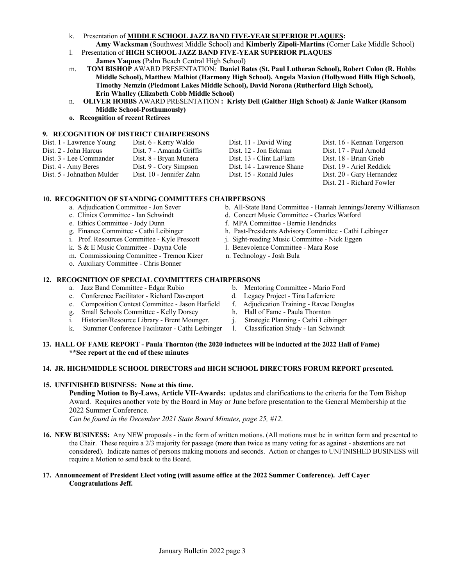- k. Presentation of **MIDDLE SCHOOL JAZZ BAND FIVE-YEAR SUPERIOR PLAQUES: Amy Wacksman** (Southwest Middle School) and **Kimberly Zipoli-Martins** (Corner Lake Middle School)
- l. Presentation of **HIGH SCHOOL JAZZ BAND FIVE-YEAR SUPERIOR PLAQUES James Yaques** (Palm Beach Central High School)
- m. **TOM BISHOP** AWARD PRESENTATION: **Daniel Bates (St. Paul Lutheran School), Robert Colon (R. Hobbs Middle School), Matthew Malhiot (Harmony High School), Angela Maxion (Hollywood Hills High School), Timothy Nemzin (Piedmont Lakes Middle School), David Norona (Rutherford High School), Erin Whalley (Elizabeth Cobb Middle School)**
- n. **OLIVER HOBBS** AWARD PRESENTATION **: Kristy Dell (Gaither High School) & Janie Walker (Ransom Middle School-Posthumously)**
- **o. Recognition of recent Retirees**

#### **9. RECOGNITION OF DISTRICT CHAIRPERSONS**

| Dist. 1 - Lawrence Young   | Dist. 6 - Kerry Waldo    | Dist. 11 - David Wing     | Dist. 16 - Kennan Torgerson |
|----------------------------|--------------------------|---------------------------|-----------------------------|
| Dist. 2 - John Harcus      | Dist. 7 - Amanda Griffis | Dist. 12 - Jon Eckman     | Dist. 17 - Paul Arnold      |
| Dist. 3 - Lee Commander    | Dist. 8 - Bryan Munera   | Dist. 13 - Clint LaFlam   | Dist. 18 - Brian Grieb      |
| Dist. 4 - Amy Beres        | Dist. 9 - Cory Simpson   | Dist. 14 - Lawrence Shane | Dist. 19 - Ariel Reddick    |
| Dist. 5 - Johnathon Mulder | Dist. 10 - Jennifer Zahn | Dist. 15 - Ronald Jules   | Dist. 20 - Gary Hernandez   |
|                            |                          |                           | Dist 21 - Richard Fowler    |

#### **10. RECOGNITION OF STANDING COMMITTEES CHAIRPERSONS**

- 
- 
- 
- e. Ethics Committee Jody Dunn f. MPA Committee Bernie Hendricks<br>g. Finance Committee Cathi Leibinger h. Past-Presidents Advisory Committee
- i. Prof. Resources Committee Kyle Prescott j. Sight-reading Music Committee Nick Eggen
- k. S & E Music Committee Dayna Cole l. Benevolence Committee Mara Rose
- m. Commissioning Committee Tremon Kizer n. Technology Josh Bula
- o. Auxiliary Committee Chris Bonner

#### **12. RECOGNITION OF SPECIAL COMMITTEES CHAIRPERSONS**

- a. Jazz Band Committee Edgar Rubio b. Mentoring Committee Mario Ford
- c. Conference Facilitator Richard Davenport d. Legacy Project Tina Laferriere
- e. Composition Contest Committee Jason Hatfield f. Adjudication Training Ravae Douglas
- g. Small Schools Committee Kelly Dorsey h. Hall of Fame Paula Thornton
- i. Historian/Resource Library Brent Mounger. j. Strategic Planning Cathi Leibinger
- k. Summer Conference Facilitator Cathi Leibinger l. Classification Study Ian Schwindt
- a. Adjudication Committee Jon Sever b. All-State Band Committee Hannah Jennings/Jeremy Williamson
- c. Clinics Committee Ian Schwindt d. Concert Music Committee Charles Watford
	-
	- h. Past-Presidents Advisory Committee Cathi Leibinger
	-
	-
	- -
		-
		-
		-
	-
	-

#### **13. HALL OF FAME REPORT - Paula Thornton (the 2020 inductees will be inducted at the 2022 Hall of Fame) \*\*See report at the end of these minutes**

#### **14. JR. HIGH/MIDDLE SCHOOL DIRECTORS and HIGH SCHOOL DIRECTORS FORUM REPORT presented.**

#### **15. UNFINISHED BUSINESS: None at this time.**

**Pending Motion to By-Laws, Article VII-Awards:** updates and clarifications to the criteria for the Tom Bishop Award. Requires another vote by the Board in May or June before presentation to the General Membership at the 2022 Summer Conference.

*Can be found in the December 2021 State Board Minutes, page 25, #12*.

**16. NEW BUSINESS:** Any NEW proposals - in the form of written motions. (All motions must be in written form and presented to the Chair. These require a 2/3 majority for passage (more than twice as many voting for as against - abstentions are not considered). Indicate names of persons making motions and seconds. Action or changes to UNFINISHED BUSINESS will require a Motion to send back to the Board.

#### **17. Announcement of President Elect voting (will assume office at the 2022 Summer Conference). Jeff Cayer Congratulations Jeff.**

- 
- Dist. 21 Richard Fowler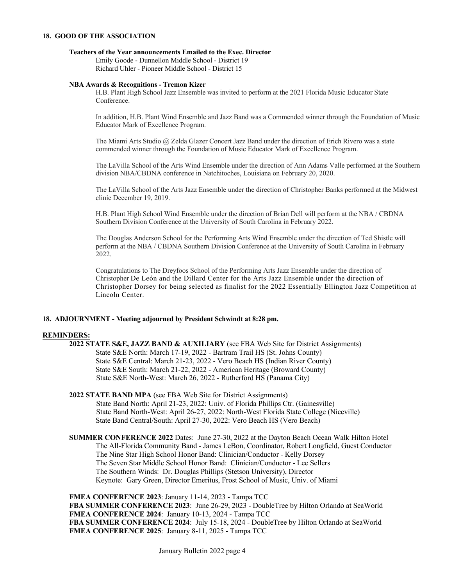#### **18. GOOD OF THE ASSOCIATION**

#### **Teachers of the Year announcements Emailed to the Exec. Director**

Emily Goode - Dunnellon Middle School - District 19 Richard Uhler - Pioneer Middle School - District 15

#### **NBA Awards & Recognitions - Tremon Kizer**

H.B. Plant High School Jazz Ensemble was invited to perform at the 2021 Florida Music Educator State Conference.

In addition, H.B. Plant Wind Ensemble and Jazz Band was a Commended winner through the Foundation of Music Educator Mark of Excellence Program.

The Miami Arts Studio @ Zelda Glazer Concert Jazz Band under the direction of Erich Rivero was a state commended winner through the Foundation of Music Educator Mark of Excellence Program.

The LaVilla School of the Arts Wind Ensemble under the direction of Ann Adams Valle performed at the Southern division NBA/CBDNA conference in Natchitoches, Louisiana on February 20, 2020.

The LaVilla School of the Arts Jazz Ensemble under the direction of Christopher Banks performed at the Midwest clinic December 19, 2019.

H.B. Plant High School Wind Ensemble under the direction of Brian Dell will perform at the NBA / CBDNA Southern Division Conference at the University of South Carolina in February 2022.

The Douglas Anderson School for the Performing Arts Wind Ensemble under the direction of Ted Shistle will perform at the NBA / CBDNA Southern Division Conference at the University of South Carolina in February 2022.

Congratulations to The Dreyfoos School of the Performing Arts Jazz Ensemble under the direction of Christopher De León and the Dillard Center for the Arts Jazz Ensemble under the direction of Christopher Dorsey for being selected as finalist for the 2022 Essentially Ellington Jazz Competition at Lincoln Center.

#### **18. ADJOURNMENT - Meeting adjourned by President Schwindt at 8:28 pm.**

#### **REMINDERS:**

**2022 STATE S&E, JAZZ BAND & AUXILIARY** (see FBA Web Site for District Assignments) State S&E North: March 17-19, 2022 - Bartram Trail HS (St. Johns County) State S&E Central: March 21-23, 2022 - Vero Beach HS (Indian River County) State S&E South: March 21-22, 2022 - American Heritage (Broward County) State S&E North-West: March 26, 2022 - Rutherford HS (Panama City)

**2022 STATE BAND MPA** (see FBA Web Site for District Assignments) State Band North: April 21-23, 2022: Univ. of Florida Phillips Ctr. (Gainesville) State Band North-West: April 26-27, 2022: North-West Florida State College (Niceville) State Band Central/South: April 27-30, 2022: Vero Beach HS (Vero Beach)

**SUMMER CONFERENCE 2022** Dates: June 27-30, 2022 at the Dayton Beach Ocean Walk Hilton Hotel The All-Florida Community Band - James LeBon, Coordinator, Robert Longfield, Guest Conductor The Nine Star High School Honor Band: Clinician/Conductor - Kelly Dorsey The Seven Star Middle School Honor Band: Clinician/Conductor - Lee Sellers The Southern Winds: Dr. Douglas Phillips (Stetson University), Director Keynote: Gary Green, Director Emeritus, Frost School of Music, Univ. of Miami

**FMEA CONFERENCE 2023**: January 11-14, 2023 - Tampa TCC **FBA SUMMER CONFERENCE 2023**: June 26-29, 2023 - DoubleTree by Hilton Orlando at SeaWorld **FMEA CONFERENCE 2024**: January 10-13, 2024 - Tampa TCC **FBA SUMMER CONFERENCE 2024**: July 15-18, 2024 - DoubleTree by Hilton Orlando at SeaWorld **FMEA CONFERENCE 2025**: January 8-11, 2025 - Tampa TCC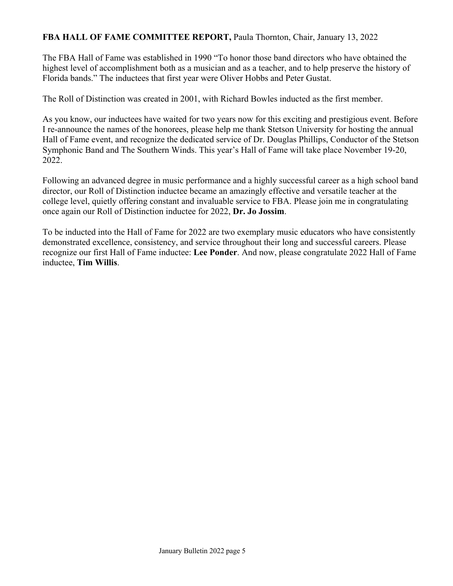## **FBA HALL OF FAME COMMITTEE REPORT,** Paula Thornton, Chair, January 13, 2022

The FBA Hall of Fame was established in 1990 "To honor those band directors who have obtained the highest level of accomplishment both as a musician and as a teacher, and to help preserve the history of Florida bands." The inductees that first year were Oliver Hobbs and Peter Gustat.

The Roll of Distinction was created in 2001, with Richard Bowles inducted as the first member.

As you know, our inductees have waited for two years now for this exciting and prestigious event. Before I re-announce the names of the honorees, please help me thank Stetson University for hosting the annual Hall of Fame event, and recognize the dedicated service of Dr. Douglas Phillips, Conductor of the Stetson Symphonic Band and The Southern Winds. This year's Hall of Fame will take place November 19-20, 2022.

Following an advanced degree in music performance and a highly successful career as a high school band director, our Roll of Distinction inductee became an amazingly effective and versatile teacher at the college level, quietly offering constant and invaluable service to FBA. Please join me in congratulating once again our Roll of Distinction inductee for 2022, **Dr. Jo Jossim**.

To be inducted into the Hall of Fame for 2022 are two exemplary music educators who have consistently demonstrated excellence, consistency, and service throughout their long and successful careers. Please recognize our first Hall of Fame inductee: **Lee Ponder**. And now, please congratulate 2022 Hall of Fame inductee, **Tim Willis**.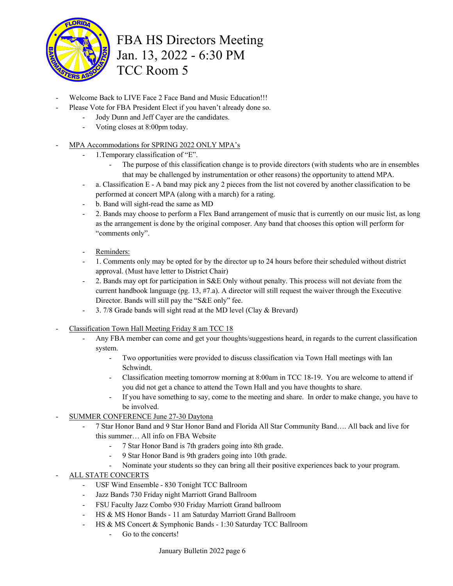

# FBA HS Directors Meeting Jan. 13, 2022 - 6:30 PM TCC Room 5

- Welcome Back to LIVE Face 2 Face Band and Music Education!!!
	- Please Vote for FBA President Elect if you haven't already done so.
		- Jody Dunn and Jeff Cayer are the candidates.
		- Voting closes at 8:00pm today.
- MPA Accommodations for SPRING 2022 ONLY MPA's
	- 1. Temporary classification of "E".
		- The purpose of this classification change is to provide directors (with students who are in ensembles that may be challenged by instrumentation or other reasons) the opportunity to attend MPA.
	- a. Classification E A band may pick any 2 pieces from the list not covered by another classification to be performed at concert MPA (along with a march) for a rating.
	- b. Band will sight-read the same as MD
	- 2. Bands may choose to perform a Flex Band arrangement of music that is currently on our music list, as long as the arrangement is done by the original composer. Any band that chooses this option will perform for "comments only".
	- Reminders:
	- 1. Comments only may be opted for by the director up to 24 hours before their scheduled without district approval. (Must have letter to District Chair)
	- 2. Bands may opt for participation in S&E Only without penalty. This process will not deviate from the current handbook language (pg. 13, #7.a). A director will still request the waiver through the Executive Director. Bands will still pay the "S&E only" fee.
	- 3. 7/8 Grade bands will sight read at the MD level (Clay & Brevard)
- Classification Town Hall Meeting Friday 8 am TCC 18
	- Any FBA member can come and get your thoughts/suggestions heard, in regards to the current classification system.
		- Two opportunities were provided to discuss classification via Town Hall meetings with Ian Schwindt.
		- Classification meeting tomorrow morning at 8:00am in TCC 18-19. You are welcome to attend if you did not get a chance to attend the Town Hall and you have thoughts to share.
		- If you have something to say, come to the meeting and share. In order to make change, you have to be involved.
- SUMMER CONFERENCE June 27-30 Daytona
	- 7 Star Honor Band and 9 Star Honor Band and Florida All Star Community Band…. All back and live for this summer… All info on FBA Website
		- 7 Star Honor Band is 7th graders going into 8th grade.
		- 9 Star Honor Band is 9th graders going into 10th grade.
		- Nominate your students so they can bring all their positive experiences back to your program.
- ALL STATE CONCERTS
	- USF Wind Ensemble 830 Tonight TCC Ballroom
	- Jazz Bands 730 Friday night Marriott Grand Ballroom
	- FSU Faculty Jazz Combo 930 Friday Marriott Grand ballroom
	- HS & MS Honor Bands 11 am Saturday Marriott Grand Ballroom
	- HS & MS Concert & Symphonic Bands 1:30 Saturday TCC Ballroom
		- Go to the concerts!